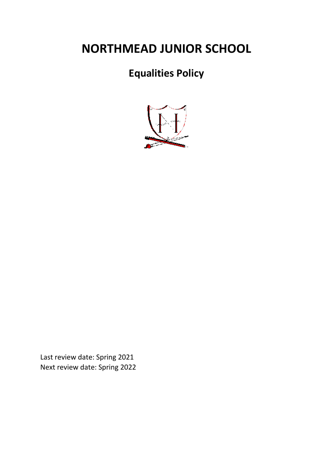# **NORTHMEAD JUNIOR SCHOOL**

# **Equalities Policy**



Last review date: Spring 2021 Next review date: Spring 2022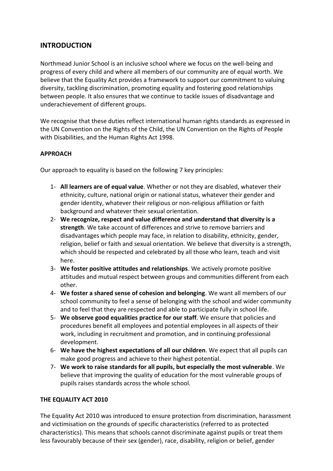# **INTRODUCTION**

Northmead Junior School is an inclusive school where we focus on the well-being and progress of every child and where all members of our community are of equal worth. We believe that the Equality Act provides a framework to support our commitment to valuing diversity, tackling discrimination, promoting equality and fostering good relationships between people. It also ensures that we continue to tackle issues of disadvantage and underachievement of different groups.

We recognise that these duties reflect international human rights standards as expressed in the UN Convention on the Rights of the Child, the UN Convention on the Rights of People with Disabilities, and the Human Rights Act 1998.

### **APPROACH**

Our approach to equality is based on the following 7 key principles:

- 1- **All learners are of equal value**. Whether or not they are disabled, whatever their ethnicity, culture, national origin or national status, whatever their gender and gender identity, whatever their religious or non-religious affiliation or faith background and whatever their sexual orientation.
- 2- **We recognize, respect and value difference and understand that diversity is a strength**. We take account of differences and strive to remove barriers and disadvantages which people may face, in relation to disability, ethnicity, gender, religion, belief or faith and sexual orientation. We believe that diversity is a strength, which should be respected and celebrated by all those who learn, teach and visit here.
- 3- **We foster positive attitudes and relationships**. We actively promote positive attitudes and mutual respect between groups and communities different from each other.
- 4- **We foster a shared sense of cohesion and belonging**. We want all members of our school community to feel a sense of belonging with the school and wider community and to feel that they are respected and able to participate fully in school life.
- 5- **We observe good equalities practice for our staff**. We ensure that policies and procedures benefit all employees and potential employees in all aspects of their work, including in recruitment and promotion, and in continuing professional development.
- 6- **We have the highest expectations of all our children**. We expect that all pupils can make good progress and achieve to their highest potential.
- 7- **We work to raise standards for all pupils, but especially the most vulnerable**. We believe that improving the quality of education for the most vulnerable groups of pupils raises standards across the whole school.

#### **THE EQUALITY ACT 2010**

The Equality Act 2010 was introduced to ensure protection from discrimination, harassment and victimisation on the grounds of specific characteristics (referred to as protected characteristics). This means that schools cannot discriminate against pupils or treat them less favourably because of their sex (gender), race, disability, religion or belief, gender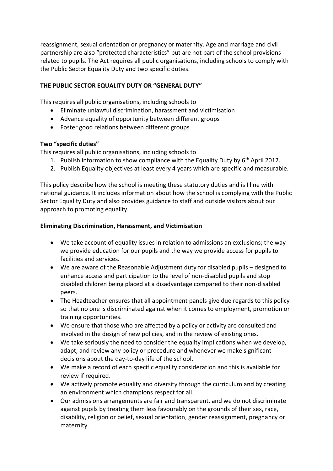reassignment, sexual orientation or pregnancy or maternity. Age and marriage and civil partnership are also "protected characteristics" but are not part of the school provisions related to pupils. The Act requires all public organisations, including schools to comply with the Public Sector Equality Duty and two specific duties.

#### **THE PUBLIC SECTOR EQUALITY DUTY OR "GENERAL DUTY"**

This requires all public organisations, including schools to

- Eliminate unlawful discrimination, harassment and victimisation
- Advance equality of opportunity between different groups
- Foster good relations between different groups

#### **Two "specific duties"**

This requires all public organisations, including schools to

- 1. Publish information to show compliance with the Equality Duty by  $6<sup>th</sup>$  April 2012.
- 2. Publish Equality objectives at least every 4 years which are specific and measurable.

This policy describe how the school is meeting these statutory duties and is I line with national guidance. It includes information about how the school is complying with the Public Sector Equality Duty and also provides guidance to staff and outside visitors about our approach to promoting equality.

#### **Eliminating Discrimination, Harassment, and Victimisation**

- We take account of equality issues in relation to admissions an exclusions; the way we provide education for our pupils and the way we provide access for pupils to facilities and services.
- We are aware of the Reasonable Adjustment duty for disabled pupils designed to enhance access and participation to the level of non-disabled pupils and stop disabled children being placed at a disadvantage compared to their non-disabled peers.
- The Headteacher ensures that all appointment panels give due regards to this policy so that no one is discriminated against when it comes to employment, promotion or training opportunities.
- We ensure that those who are affected by a policy or activity are consulted and involved in the design of new policies, and in the review of existing ones.
- We take seriously the need to consider the equality implications when we develop, adapt, and review any policy or procedure and whenever we make significant decisions about the day-to-day life of the school.
- We make a record of each specific equality consideration and this is available for review if required.
- We actively promote equality and diversity through the curriculum and by creating an environment which champions respect for all.
- Our admissions arrangements are fair and transparent, and we do not discriminate against pupils by treating them less favourably on the grounds of their sex, race, disability, religion or belief, sexual orientation, gender reassignment, pregnancy or maternity.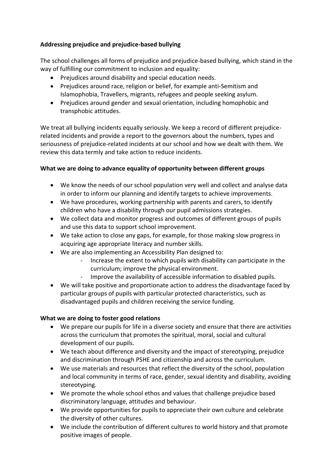# **Addressing prejudice and prejudice-based bullying**

The school challenges all forms of prejudice and prejudice-based bullying, which stand in the way of fulfilling our commitment to inclusion and equality:

- Prejudices around disability and special education needs.
- Prejudices around race, religion or belief, for example anti-Semitism and Islamophobia, Travellers, migrants, refugees and people seeking asylum.
- Prejudices around gender and sexual orientation, including homophobic and transphobic attitudes.

We treat all bullying incidents equally seriously. We keep a record of different prejudicerelated incidents and provide a report to the governors about the numbers, types and seriousness of prejudice-related incidents at our school and how we dealt with them. We review this data termly and take action to reduce incidents.

#### **What we are doing to advance equality of opportunity between different groups**

- We know the needs of our school population very well and collect and analyse data in order to inform our planning and identify targets to achieve improvements.
- We have procedures, working partnership with parents and carers, to identify children who have a disability through our pupil admissions strategies.
- We collect data and monitor progress and outcomes of different groups of pupils and use this data to support school improvement.
- We take action to close any gaps, for example, for those making slow progress in acquiring age appropriate literacy and number skills.
- We are also implementing an Accessibility Plan designed to:
	- Increase the extent to which pupils with disability can participate in the curriculum; improve the physical environment.
	- Improve the availability of accessible information to disabled pupils.
- We will take positive and proportionate action to address the disadvantage faced by particular groups of pupils with particular protected characteristics, such as disadvantaged pupils and children receiving the service funding.

#### **What we are doing to foster good relations**

- We prepare our pupils for life in a diverse society and ensure that there are activities across the curriculum that promotes the spiritual, moral, social and cultural development of our pupils.
- We teach about difference and diversity and the impact of stereotyping, prejudice and discrimination through PSHE and citizenship and across the curriculum.
- We use materials and resources that reflect the diversity of the school, population and local community in terms of race, gender, sexual identity and disability, avoiding stereotyping.
- We promote the whole school ethos and values that challenge prejudice based discriminatory language, attitudes and behaviour.
- We provide opportunities for pupils to appreciate their own culture and celebrate the diversity of other cultures.
- We include the contribution of different cultures to world history and that promote positive images of people.